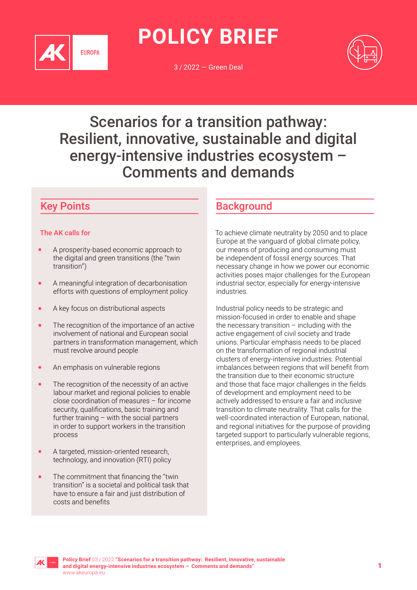

**POLICY BRIEF**

3 / 2022 — Green Deal



# Scenarios for a transition pathway: Resilient, innovative, sustainable and digital energy-intensive industries ecosystem – Comments and demands

# Key Points

#### The AK calls for

- A prosperity-based economic approach to the digital and green transitions (the "twin transition")
- A meaningful integration of decarbonisation efforts with questions of employment policy
- A key focus on distributional aspects
- The recognition of the importance of an active involvement of national and European social partners in transformation management, which must revolve around people
- An emphasis on vulnerable regions
- The recognition of the necessity of an active labour market and regional policies to enable close coordination of measures – for income security, qualifications, basic training and further training – with the social partners in order to support workers in the transition process
- A targeted, mission-oriented research, technology, and innovation (RTI) policy
- The commitment that financing the "twin transition" is a societal and political task that have to ensure a fair and just distribution of costs and benefits

# **Background**

To achieve climate neutrality by 2050 and to place Europe at the vanguard of global climate policy, our means of producing and consuming must be independent of fossil energy sources. That necessary change in how we power our economic activities poses major challenges for the European industrial sector, especially for energy-intensive industries.

Industrial policy needs to be strategic and mission-focused in order to enable and shape the necessary transition  $-$  including with the active engagement of civil society and trade unions. Particular emphasis needs to be placed on the transformation of regional industrial clusters of energy-intensive industries. Potential imbalances between regions that will benefit from the transition due to their economic structure and those that face major challenges in the fields of development and employment need to be actively addressed to ensure a fair and inclusive transition to climate neutrality. That calls for the well-coordinated interaction of European, national, and regional initiatives for the purpose of providing targeted support to particularly vulnerable regions, enterprises, and employees.

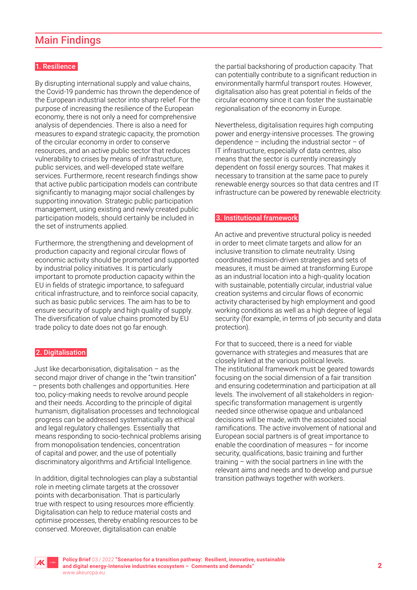# Main Findings

#### 1. Resilience

By disrupting international supply and value chains, the Covid-19 pandemic has thrown the dependence of the European industrial sector into sharp relief. For the purpose of increasing the resilience of the European economy, there is not only a need for comprehensive analysis of dependencies. There is also a need for measures to expand strategic capacity, the promotion of the circular economy in order to conserve resources, and an active public sector that reduces vulnerability to crises by means of infrastructure, public services, and well-developed state welfare services. Furthermore, recent research findings show that active public participation models can contribute significantly to managing major social challenges by supporting innovation. Strategic public participation management, using existing and newly created public participation models, should certainly be included in the set of instruments applied.

Furthermore, the strengthening and development of production capacity and regional circular flows of economic activity should be promoted and supported by industrial policy initiatives. It is particularly important to promote production capacity within the EU in fields of strategic importance, to safeguard critical infrastructure, and to reinforce social capacity, such as basic public services. The aim has to be to ensure security of supply and high quality of supply. The diversification of value chains promoted by EU trade policy to date does not go far enough.

#### 2. Digitalisation

Just like decarbonisation, digitalisation – as the second major driver of change in the "twin transition" – presents both challenges and opportunities. Here too, policy-making needs to revolve around people and their needs. According to the principle of digital humanism, digitalisation processes and technological progress can be addressed systematically as ethical and legal regulatory challenges. Essentially that means responding to socio-technical problems arising from monopolisation tendencies, concentration of capital and power, and the use of potentially discriminatory algorithms and Artificial Intelligence.

In addition, digital technologies can play a substantial role in meeting climate targets at the crossover points with decarbonisation. That is particularly true with respect to using resources more efficiently. Digitalisation can help to reduce material costs and optimise processes, thereby enabling resources to be conserved. Moreover, digitalisation can enable

the partial backshoring of production capacity. That can potentially contribute to a significant reduction in environmentally harmful transport routes. However, digitalisation also has great potential in fields of the circular economy since it can foster the sustainable regionalisation of the economy in Europe.

Nevertheless, digitalisation requires high computing power and energy-intensive processes. The growing dependence – including the industrial sector – of IT infrastructure, especially of data centres, also means that the sector is currently increasingly dependent on fossil energy sources. That makes it necessary to transition at the same pace to purely renewable energy sources so that data centres and IT infrastructure can be powered by renewable electricity.

#### 3. Institutional framework

An active and preventive structural policy is needed in order to meet climate targets and allow for an inclusive transition to climate neutrality. Using coordinated mission-driven strategies and sets of measures, it must be aimed at transforming Europe as an industrial location into a high-quality location with sustainable, potentially circular, industrial value creation systems and circular flows of economic activity characterised by high employment and good working conditions as well as a high degree of legal security (for example, in terms of job security and data protection).

For that to succeed, there is a need for viable governance with strategies and measures that are closely linked at the various political levels. The institutional framework must be geared towards focusing on the social dimension of a fair transition and ensuring codetermination and participation at all levels. The involvement of all stakeholders in regionspecific transformation management is urgently needed since otherwise opaque and unbalanced decisions will be made, with the associated social ramifications. The active involvement of national and European social partners is of great importance to enable the coordination of measures – for income security, qualifications, basic training and further training – with the social partners in line with the relevant aims and needs and to develop and pursue transition pathways together with workers.

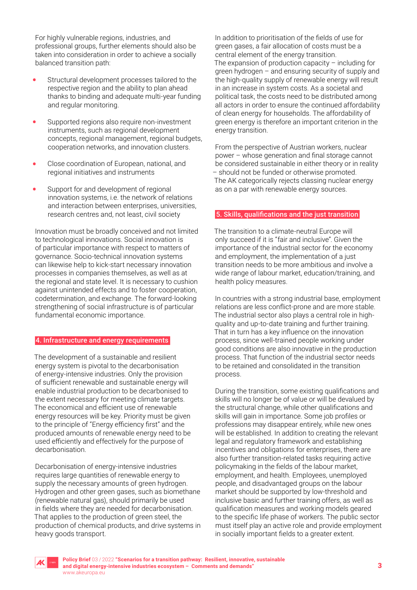For highly vulnerable regions, industries, and professional groups, further elements should also be taken into consideration in order to achieve a socially balanced transition path:

- Structural development processes tailored to the respective region and the ability to plan ahead thanks to binding and adequate multi-year funding and regular monitoring.
- Supported regions also require non-investment instruments, such as regional development concepts, regional management, regional budgets, cooperation networks, and innovation clusters.
- Close coordination of European, national, and regional initiatives and instruments
- Support for and development of regional innovation systems, i.e. the network of relations and interaction between enterprises, universities, research centres and, not least, civil society

Innovation must be broadly conceived and not limited to technological innovations. Social innovation is of particular importance with respect to matters of governance. Socio-technical innovation systems can likewise help to kick-start necessary innovation processes in companies themselves, as well as at the regional and state level. It is necessary to cushion against unintended effects and to foster cooperation, codetermination, and exchange. The forward-looking strengthening of social infrastructure is of particular fundamental economic importance.

#### 4. Infrastructure and energy requirements

The development of a sustainable and resilient energy system is pivotal to the decarbonisation of energy-intensive industries. Only the provision of sufficient renewable and sustainable energy will enable industrial production to be decarbonised to the extent necessary for meeting climate targets. The economical and efficient use of renewable energy resources will be key. Priority must be given to the principle of "Energy efficiency first" and the produced amounts of renewable energy need to be used efficiently and effectively for the purpose of decarbonisation.

Decarbonisation of energy-intensive industries requires large quantities of renewable energy to supply the necessary amounts of green hydrogen. Hydrogen and other green gases, such as biomethane (renewable natural gas), should primarily be used in fields where they are needed for decarbonisation. That applies to the production of green steel, the production of chemical products, and drive systems in heavy goods transport.

In addition to prioritisation of the fields of use for green gases, a fair allocation of costs must be a central element of the energy transition. The expansion of production capacity – including for green hydrogen – and ensuring security of supply and the high-quality supply of renewable energy will result in an increase in system costs. As a societal and political task, the costs need to be distributed among all actors in order to ensure the continued affordability of clean energy for households. The affordability of green energy is therefore an important criterion in the energy transition.

From the perspective of Austrian workers, nuclear power – whose generation and final storage cannot be considered sustainable in either theory or in reality – should not be funded or otherwise promoted. The AK categorically rejects classing nuclear energy as on a par with renewable energy sources.

#### 5. Skills, qualifications and the just transition

The transition to a climate-neutral Europe will only succeed if it is "fair and inclusive". Given the importance of the industrial sector for the economy and employment, the implementation of a just transition needs to be more ambitious and involve a wide range of labour market, education/training, and health policy measures.

In countries with a strong industrial base, employment relations are less conflict-prone and are more stable. The industrial sector also plays a central role in highquality and up-to-date training and further training. That in turn has a key influence on the innovation process, since well-trained people working under good conditions are also innovative in the production process. That function of the industrial sector needs to be retained and consolidated in the transition process.

During the transition, some existing qualifications and skills will no longer be of value or will be devalued by the structural change, while other qualifications and skills will gain in importance. Some job profiles or professions may disappear entirely, while new ones will be established. In addition to creating the relevant legal and regulatory framework and establishing incentives and obligations for enterprises, there are also further transition-related tasks requiring active policymaking in the fields of the labour market, employment, and health. Employees, unemployed people, and disadvantaged groups on the labour market should be supported by low-threshold and inclusive basic and further training offers, as well as qualification measures and working models geared to the specific life phase of workers. The public sector must itself play an active role and provide employment in socially important fields to a greater extent.